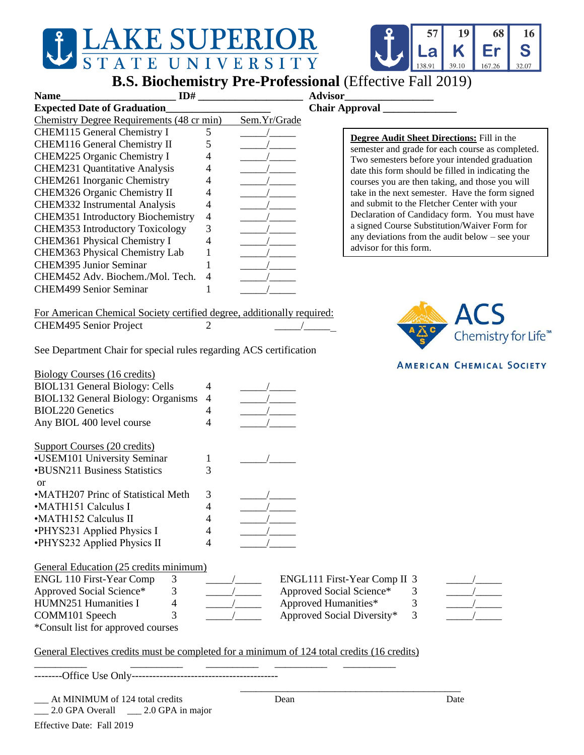## **SUPERIOR TE**

## **B.S. Biochemistry Pre-Professional** (Effective Fall 2019)

| <b>Name</b> |  |                                    | ID# |  |  |  |  | <b>Advisor</b> |                       |
|-------------|--|------------------------------------|-----|--|--|--|--|----------------|-----------------------|
|             |  | <b>Expected Date of Graduation</b> |     |  |  |  |  |                | <b>Chair Approval</b> |
| --          |  |                                    |     |  |  |  |  |                |                       |

| <b>Expected Date of Graduation</b>        |   |              |  |  |
|-------------------------------------------|---|--------------|--|--|
| Chemistry Degree Requirements (48 cr min) |   | Sem.Yr/Grade |  |  |
| <b>CHEM115</b> General Chemistry I        |   |              |  |  |
| CHEM116 General Chemistry II              |   |              |  |  |
| CHEM225 Organic Chemistry I               |   |              |  |  |
| <b>CHEM231 Quantitative Analysis</b>      |   |              |  |  |
| CHEM261 Inorganic Chemistry               |   |              |  |  |
| CHEM326 Organic Chemistry II              |   |              |  |  |
| <b>CHEM332</b> Instrumental Analysis      |   |              |  |  |
| <b>CHEM351</b> Introductory Biochemistry  | 4 |              |  |  |
| <b>CHEM353</b> Introductory Toxicology    | 3 |              |  |  |
| <b>CHEM361 Physical Chemistry I</b>       |   |              |  |  |
| CHEM363 Physical Chemistry Lab            |   |              |  |  |
| <b>CHEM395 Junior Seminar</b>             |   |              |  |  |
| CHEM452 Adv. Biochem./Mol. Tech.          |   |              |  |  |
| <b>CHEM499 Senior Seminar</b>             |   |              |  |  |
|                                           |   |              |  |  |

**Degree Audit Sheet Directions:** Fill in the semester and grade for each course as completed. Two semesters before your intended graduation date this form should be filled in indicating the courses you are then taking, and those you will take in the next semester. Have the form signed and submit to the Fletcher Center with your Declaration of Candidacy form. You must have a signed Course Substitution/Waiver Form for any deviations from the audit below – see your advisor for this form.

For American Chemical Society certified degree, additionally required: CHEM495 Senior Project 2

See Department Chair for special rules regarding ACS certification

| 4 |  |
|---|--|
|   |  |
|   |  |
|   |  |
|   |  |
|   |  |
|   |  |
| 3 |  |
|   |  |
|   |  |
|   |  |
|   |  |
|   |  |

hemistry for Life<sup>™</sup>

**AMERICAN CHEMICAL SOCIETY** 

| General Education (25 credits minimum) |  |
|----------------------------------------|--|
|                                        |  |

| ENGL 110 First-Year Comp           |  |  | ENGL111 First-Year Comp II 3 |  |  |
|------------------------------------|--|--|------------------------------|--|--|
| Approved Social Science*           |  |  | Approved Social Science*     |  |  |
| HUMN251 Humanities I               |  |  | Approved Humanities*         |  |  |
| COMM101 Speech                     |  |  | Approved Social Diversity*   |  |  |
| *Consult list for approved courses |  |  |                              |  |  |

| NGL111 First-Year Comp II 3 |   |
|-----------------------------|---|
| pproved Social Science*     | 3 |
| pproved Humanities*         | 3 |
| pproved Social Diversity*   | 3 |

\_\_\_\_\_\_\_\_\_\_\_\_\_\_\_\_\_\_\_\_\_\_\_\_\_\_\_\_\_\_\_\_\_\_\_\_\_\_\_\_\_\_



## General Electives credits must be completed for a minimum of 124 total credits (16 credits)

\_\_\_\_\_\_\_\_\_\_ \_\_\_\_\_\_\_\_\_\_ \_\_\_\_\_\_\_\_\_\_ \_\_\_\_\_\_\_\_\_\_ \_\_\_\_\_\_\_\_\_\_

---------Office Use Only---------

| At MINIMUM of 124 total credits                                   | Jean | Jate |
|-------------------------------------------------------------------|------|------|
| $\sim$ $\sim$ $\sim$ $\sim$<br>$\sim$ $\sim$ $\sim$ $\sim$ $\sim$ |      |      |